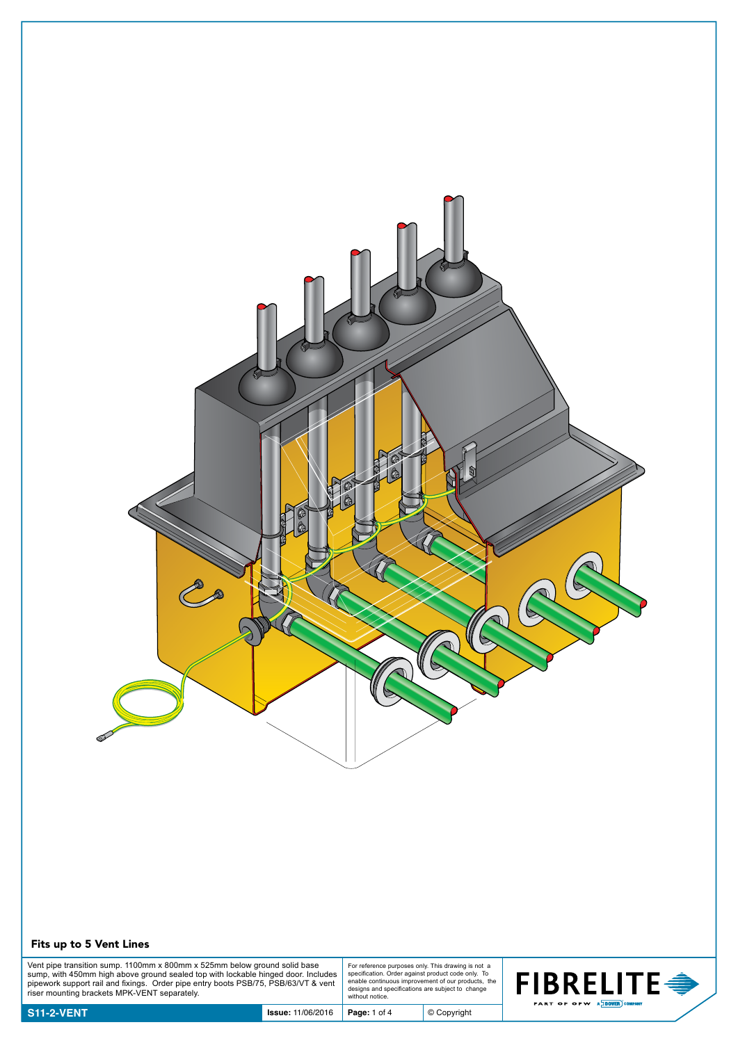

## Fits up to 5 Vent Lines

Vent pipe transition sump. 1100mm x 800mm x 525mm below ground solid base<br>sump, with 450mm high above ground sealed top with lockable hinged door. Includes<br>pipework support rail and fixings. Order pipe entry boots PSB/75,

For reference purposes only. This drawing is not a specification. Order against product code only. To enable continuous improvement of our products, the designs and specifications are subject to change without notice.

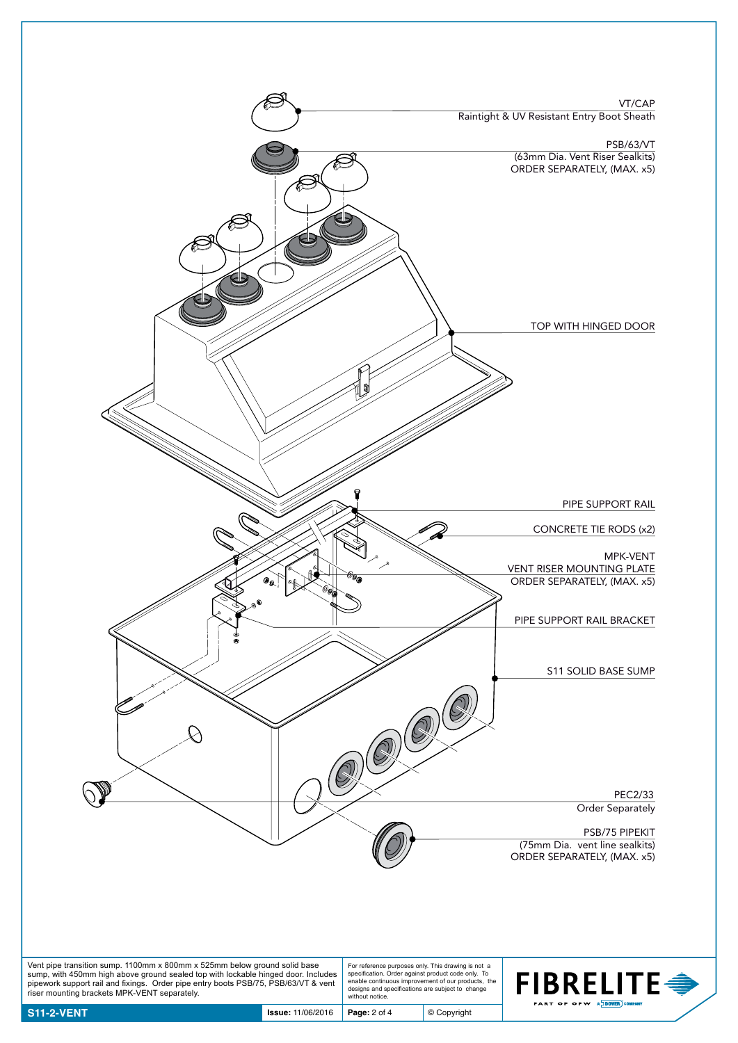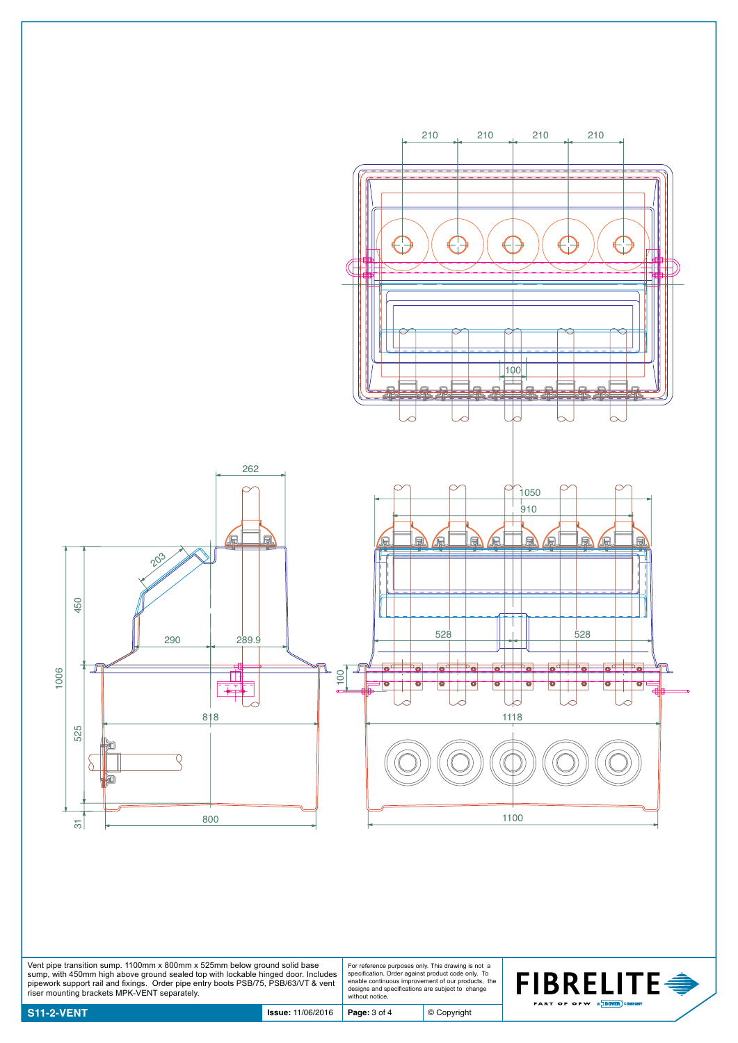

Vent pipe transition sump. 1100mm x 800mm x 525mm below ground solid base<br>sump, with 450mm high above ground sealed top with lockable hinged door. Includes<br>pipework support rail and fixings. Order pipe entry boots PSB/75,

For reference purposes only. This drawing is not a specification. Order against product code only. To enable continuous improvement of our products, the designs and specifications are subject to change without notice.

© Copyright